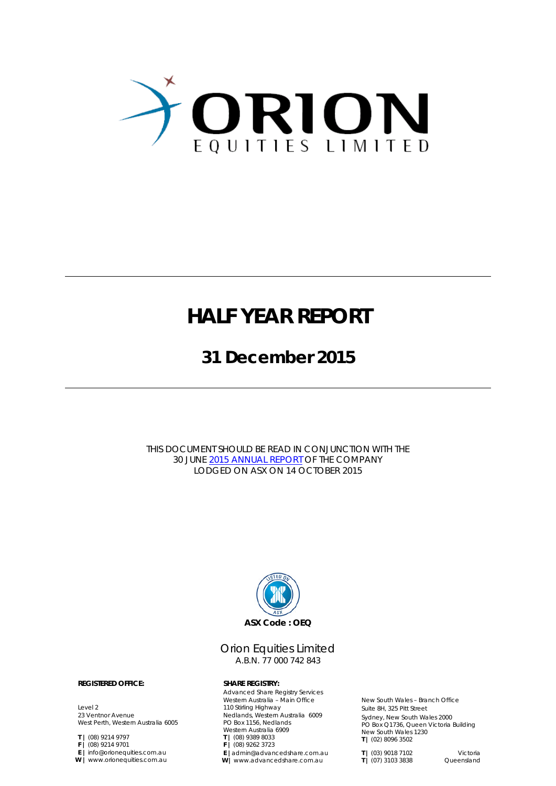

### **HALF YEAR REPORT**

**31 December 2015**

THIS DOCUMENT SHOULD BE READ IN CONJUNCTION WITH THE 30 JUNE 2015 [ANNUAL REPORT](http://www.orionequities.com.au/sites/default/files/20151013%20OEQ%20ASX%20Annual%20Report%20-%202015.pdf) OF THE COMPANY LODGED ON ASX ON 14 OCTOBER 2015



#### Orion Equities Limited A.B.N. 77 000 742 843

Advanced Share Registry Services Western Australia – Main Office 110 Stirling Highway Nedlands, Western Australia 6009 PO Box 1156, Nedlands Western Australia 6909 **T |** (08) 9389 8033 **F |** (08) 9262 3723 **E |**admin@advancedshare.com.au **W |** www.advancedshare.com.au

New South Wales – Branch Office Suite 8H, 325 Pitt Street Sydney, New South Wales 2000 PO Box Q1736, Queen Victoria Building New South Wales 1230 **T |** (02) 8096 3502

**T** | (03) 9018 7102 Victoria<br> **T** | (07) 3103 3838 Queensland  $T$  | (07) 3103 3838

#### **REGISTERED OFFICE: SHARE REGISTRY:**

Level 2 23 Ventnor Avenue West Perth, Western Australia 6005

**T |** (08) 9214 9797

**F |** (08) 9214 9701

**E |** info@orionequities.com.au **W |** www.orionequities.com.au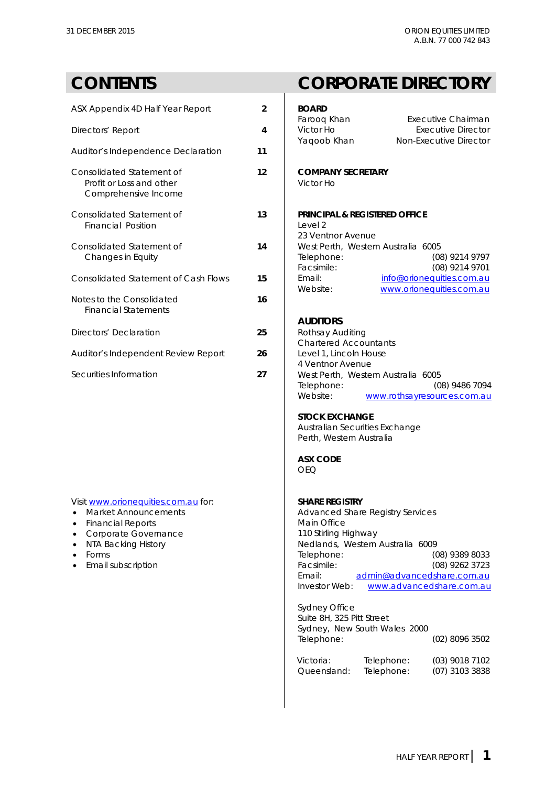| ASX Appendix 4D Half Year Report                                              | $\overline{2}$ | <b>BOARD</b><br>Farooq                        |
|-------------------------------------------------------------------------------|----------------|-----------------------------------------------|
| Directors' Report                                                             | 4              | Victor <b>H</b><br>Yaqool                     |
| Auditor's Independence Declaration                                            | 11             |                                               |
| Consolidated Statement of<br>Profit or Loss and other<br>Comprehensive Income | 12             | <b>COMP</b><br>Victor I                       |
| Consolidated Statement of<br>Financial Position                               | 13             | <b>PRINCII</b><br>Level 2<br>23 Ven           |
| Consolidated Statement of<br>Changes in Equity                                | 14             | West Pe<br>Telepho<br>Facsim                  |
| <b>Consolidated Statement of Cash Flows</b>                                   | 15             | Email:<br>Website                             |
| Notes to the Consolidated<br><b>Financial Statements</b>                      | 16             |                                               |
| Directors' Declaration                                                        | 25             | <b>AUDIT</b><br>Rothsa <sup>®</sup><br>Charte |
| Auditor's Independent Review Report                                           | 26             | Level 1<br>4 Ventr                            |
| Securities Information                                                        | 27             | Mest Pf                                       |

### Visit [www.orionequities.com.au](http://www.orionequities.com.au/) for: **SHARE REGISTRY**<br>• Market Announcements **SHARE REGISTRY**<br>Advanced Share

- 
- $\bullet$  Financial Reports
- 
- 
- 
- 

### **CONTENTS CORPORATE DIRECTORY**

### Farooq Khan Executive Chairman<br>Victor Ho Executive Director Victor Ho **Absolution Executive Director**<br>Yaqoob Khan **Absolution Non-Executive Director** Non-Executive Director  $COMPANY$  **SECRETARY** Victor Ho **PRINCIPAL & REGISTERED OFFICE**<br>Level 2 23 Ventnor Avenue West Perth, Western Australia 6005<br>Telephone: (08 Telephone: (08) 9214 9797<br>Facsimile: (08) 9214 9701 Facsimile: (08) 9214 9701<br>Email: info@orioneguities.com.au Email: **15** Email: [info@orionequities.com.au](mailto:info@orionequities.com.au)<br>Website: info@orionequities.com.au [www.orionequities.com.au](http://www.orionequities.com.au/) **AUDITORS Rothsay Auditing** Chartered Accountants Level 1, Lincoln House 4 Ventnor Avenue Securities Information **27** West Perth, Western Australia 6005 Telephone: (08) 9486 7094<br>Website: www.rothsayresources.com.au [www.rothsayresources.com.au](http://www.rothsayresources.com.au/) **STOCK EXCHANGE** [Australian](mailto:Australian) Securities Exchange Perth, Western Australia **ASX CODE** OEQ Advanced Share Registry Services<br>Main Office • Corporate Governance 1110 Stirling Highway<br>• NTA Backing History 110 Stirling Highway<br>Nedlands, Western • NTA Backing History **Nedlands, Western Australia 6009**<br>• Forms (C • Forms Telephone: (08) 9389 8033 • Email subscription **Facsimile:** Facsimile: (08) 9262 3723 Email: [admin@advancedshare.com.au](mailto:admin@advancedshare.com.au) Investor Web: [www.advancedshare.com.au](http://www.advancedshare.com.au/) Sydney Office Suite 8H, 325 Pitt Street Sydney, New South Wales 2000 Telephone: (02) 8096 3502

Victoria: Telephone: (03) 9018 7102 Queensland: Telephone: (07) 3103 3838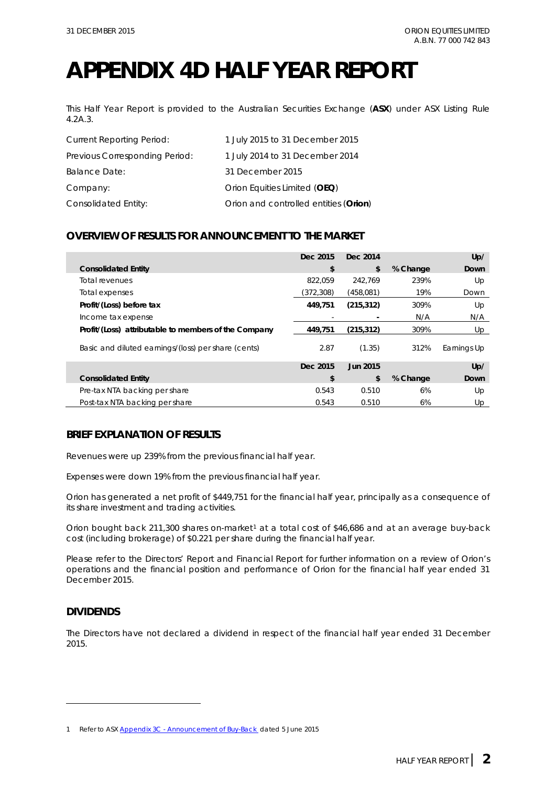## **APPENDIX 4D HALF YEAR REPORT**

This Half Year Report is provided to the Australian Securities Exchange (**ASX**) under ASX Listing Rule 4.2A.3.

| <b>Current Reporting Period:</b> | 1 July 2015 to 31 December 2015       |
|----------------------------------|---------------------------------------|
| Previous Corresponding Period:   | 1 July 2014 to 31 December 2014       |
| <b>Balance Date:</b>             | 31 December 2015                      |
| Company:                         | Orion Equities Limited (OEQ)          |
| Consolidated Entity:             | Orion and controlled entities (Orion) |

#### **OVERVIEW OF RESULTS FOR ANNOUNCEMENT TO THE MARKET**

|                                                      | Dec 2015  | Dec. 2014  |          | Up/         |
|------------------------------------------------------|-----------|------------|----------|-------------|
| <b>Consolidated Entity</b>                           | \$        | \$         | % Change | Down        |
| Total revenues                                       | 822.059   | 242.769    | 239%     | Up          |
| Total expenses                                       | (372,308) | (458.081)  | 19%      | Down        |
| Profit/(Loss) before tax                             | 449.751   | (215, 312) | 309%     | Up          |
| Income tax expense                                   |           |            | N/A      | N/A         |
| Profit/(Loss) attributable to members of the Company | 449,751   | (215, 312) | 309%     | Up          |
| Basic and diluted earnings/(loss) per share (cents)  | 2.87      | (1.35)     | 312%     | Earnings Up |
|                                                      | Dec 2015  | Jun 2015   |          | Up/         |
| <b>Consolidated Entity</b>                           | \$        | \$         | % Change | Down        |
| Pre-tax NTA backing per share                        | 0.543     | 0.510      | 6%       | Up          |
| Post-tax NTA backing per share                       | 0.543     | 0.510      | 6%       | Up          |

#### **BRIEF EXPLANATION OF RESULTS**

Revenues were up 239% from the previous financial half year.

Expenses were down 19% from the previous financial half year.

Orion has generated a net profit of \$449,751 for the financial half year, principally as a consequence of its share investment and trading activities.

Orion bought back 2[1](#page-2-0)1,300 shares on-market<sup>1</sup> at a total cost of \$46,686 and at an average buy-back cost (including brokerage) of \$0.221 per share during the financial half year.

Please refer to the Directors' Report and Financial Report for further information on a review of Orion's operations and the financial position and performance of Orion for the financial half year ended 31 December 2015.

#### **DIVIDENDS**

-

The Directors have not declared a dividend in respect of the financial half year ended 31 December 2015.

<span id="page-2-0"></span><sup>1</sup> Refer to ASX Appendix 3C - [Announcement of Buy-Back d](http://orionequities.com.au/sites/default/files/20150605%20OEQ%20ASX%20Appendix%203C%20-%20Announcement%20of%20Buy-Back.pdf)ated 5 June 2015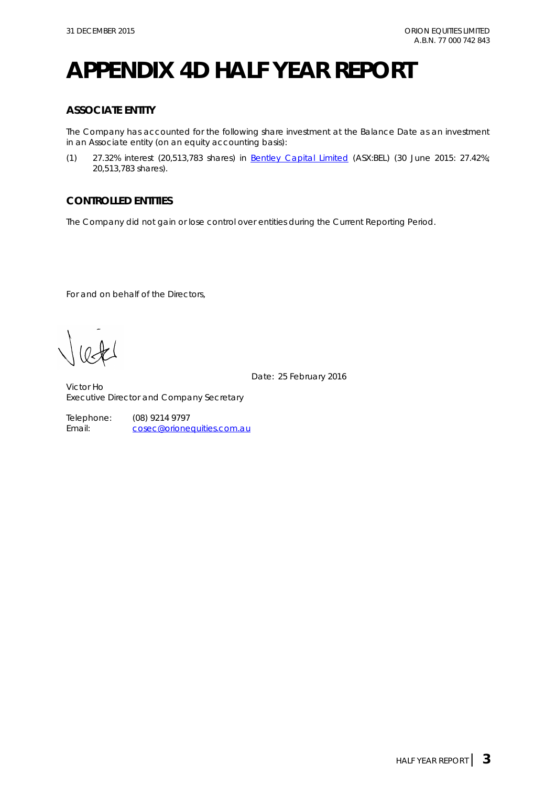# **APPENDIX 4D HALF YEAR REPORT**

### **ASSOCIATE ENTITY**

The Company has accounted for the following share investment at the Balance Date as an investment in an Associate entity (on an equity accounting basis):

(1) 27.32% interest (20,513,783 shares) in [Bentley Capital Limited](http://www.bel.com.au/) (ASX:BEL) (30 June 2015: 27.42%; 20,513,783 shares).

### **CONTROLLED ENTITIES**

The Company did not gain or lose control over entities during the Current Reporting Period.

For and on behalf of the Directors,

Date: 25 February 2016

Victor Ho Executive Director and Company Secretary

> Telephone: (08) 9214 9797<br>Email: cosec@orione [cosec@orionequities.com.au](mailto:vho@orionequities.com.au)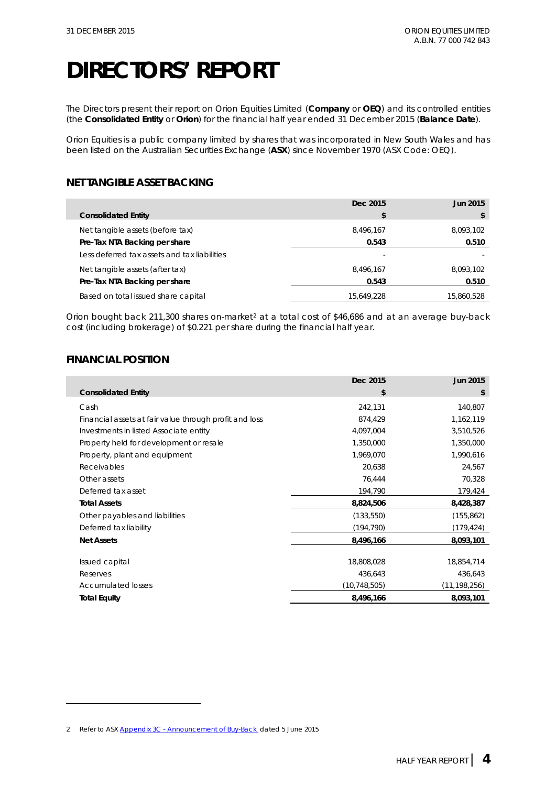The Directors present their report on Orion Equities Limited (**Company** or **OEQ**) and its controlled entities (the **Consolidated Entity** or **Orion**) for the financial half year ended 31 December 2015 (**Balance Date**).

Orion Equities is a public company limited by shares that was incorporated in New South Wales and has been listed on the Australian Securities Exchange (**ASX**) since November 1970 (ASX Code: OEQ).

### **NET TANGIBLE ASSET BACKING**

|                                              | Dec 2015   | <b>Jun 2015</b> |
|----------------------------------------------|------------|-----------------|
| <b>Consolidated Entity</b>                   | S          |                 |
| Net tangible assets (before tax)             | 8.496.167  | 8,093,102       |
| Pre-Tax NTA Backing per share                | 0.543      | 0.510           |
| Less deferred tax assets and tax liabilities |            |                 |
| Net tangible assets (after tax)              | 8.496.167  | 8,093,102       |
| Pre-Tax NTA Backing per share                | 0.543      | 0.510           |
| Based on total issued share capital          | 15,649,228 | 15,860,528      |

Orion bought back [2](#page-4-0)11,300 shares on-market<sup>2</sup> at a total cost of \$46,686 and at an average buy-back cost (including brokerage) of \$0.221 per share during the financial half year.

#### **FINANCIAL POSITION**

-

|                                                        | Dec 2015       | Jun 2015     |
|--------------------------------------------------------|----------------|--------------|
| <b>Consolidated Entity</b>                             | \$             | \$           |
| Cash                                                   | 242,131        | 140,807      |
| Financial assets at fair value through profit and loss | 874,429        | 1,162,119    |
| Investments in listed Associate entity                 | 4,097,004      | 3,510,526    |
| Property held for development or resale                | 1,350,000      | 1,350,000    |
| Property, plant and equipment                          | 1,969,070      | 1,990,616    |
| Receivables                                            | 20,638         | 24,567       |
| Other assets                                           | 76,444         | 70,328       |
| Deferred tax asset                                     | 194,790        | 179,424      |
| <b>Total Assets</b>                                    | 8,824,506      | 8,428,387    |
| Other payables and liabilities                         | (133, 550)     | (155, 862)   |
| Deferred tax liability                                 | (194,790)      | (179, 424)   |
| <b>Net Assets</b>                                      | 8,496,166      | 8,093,101    |
|                                                        |                |              |
| Issued capital                                         | 18,808,028     | 18,854,714   |
| Reserves                                               | 436,643        | 436,643      |
| <b>Accumulated losses</b>                              | (10, 748, 505) | (11,198,256) |
| <b>Total Equity</b>                                    | 8,496,166      | 8,093,101    |

<span id="page-4-0"></span><sup>2</sup> Refer to ASX Appendix 3C - [Announcement of Buy-Back d](http://orionequities.com.au/sites/default/files/20150605%20OEQ%20ASX%20Appendix%203C%20-%20Announcement%20of%20Buy-Back.pdf)ated 5 June 2015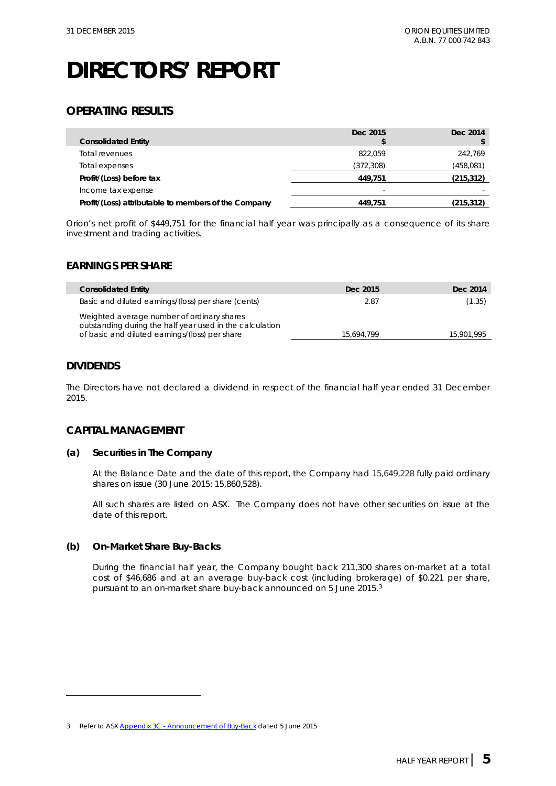### **OPERATING RESULTS**

|                                                      | Dec 2015   | Dec 2014   |
|------------------------------------------------------|------------|------------|
| <b>Consolidated Entity</b>                           |            |            |
| Total revenues                                       | 822.059    | 242.769    |
| Total expenses                                       | (372, 308) | (458,081)  |
| Profit/(Loss) before tax                             | 449.751    | (215, 312) |
| Income tax expense                                   | -          |            |
| Profit/(Loss) attributable to members of the Company | 449.751    | (215, 312) |

Orion's net profit of \$449,751 for the financial half year was principally as a consequence of its share investment and trading activities.

#### **EARNINGS PER SHARE**

| <b>Consolidated Entity</b>                                                                                                                               | Dec 2015   | Dec 2014   |
|----------------------------------------------------------------------------------------------------------------------------------------------------------|------------|------------|
| Basic and diluted earnings/(loss) per share (cents)                                                                                                      | 2.87       | (1.35)     |
| Weighted average number of ordinary shares<br>outstanding during the half year used in the calculation<br>of basic and diluted earnings/(loss) per share | 15,694,799 | 15,901,995 |

#### **DIVIDENDS**

-

The Directors have not declared a dividend in respect of the financial half year ended 31 December 2015.

#### **CAPITAL MANAGEMENT**

#### **(a) Securities in The Company**

At the Balance Date and the date of this report, the Company had 15,649,228 fully paid ordinary shares on issue (30 June 2015: 15,860,528).

All such shares are listed on ASX. The Company does not have other securities on issue at the date of this report.

#### **(b) On-Market Share Buy-Backs**

During the financial half year, the Company bought back 211,300 shares on-market at a total cost of \$46,686 and at an average buy-back cost (including brokerage) of \$0.221 per share, pursuant to an on-market share buy-back announced on 5 June 2015.[3](#page-5-0)

<span id="page-5-0"></span><sup>3</sup> Refer to ASX Appendix 3C - [Announcement of Buy-Back](http://orionequities.com.au/sites/default/files/20150605%20OEQ%20ASX%20Appendix%203C%20-%20Announcement%20of%20Buy-Back.pdf) dated 5 June 2015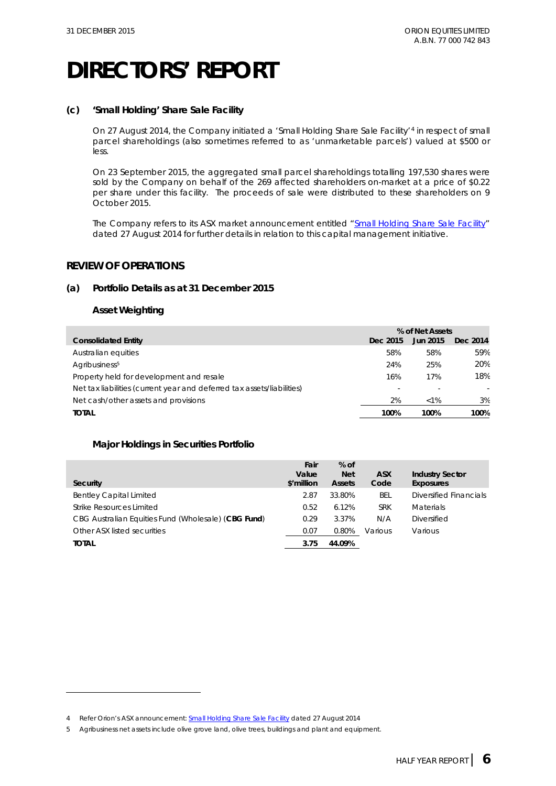#### **(c) 'Small Holding' Share Sale Facility**

On 27 August 2014, the Company initiated a 'Small Holding Share Sale Facility'[4](#page-6-0) in respect of small parcel shareholdings (also sometimes referred to as 'unmarketable parcels') valued at \$500 or less.

On 23 September 2015, the aggregated small parcel shareholdings totalling 197,530 shares were sold by the Company on behalf of the 269 affected shareholders on-market at a price of \$0.22 per share under this facility. The proceeds of sale were distributed to these shareholders on 9 October 2015.

The Company refers to its ASX market announcement entitled ["Small Holding Share Sale Facility"](http://orionequities.com.au/sites/default/files/20140827%20OEQ%20ASX%20Small%20Holding%20%28Unmarketable%20Parcel%29%20Sale%20Facility.pdf) dated 27 August 2014 for further details in relation to this capital management initiative.

#### **REVIEW OF OPERATIONS**

#### **(a) Portfolio Details as at 31 December 2015**

#### **Asset Weighting**

-

|                                                                        | % of Net Assets |          |          |
|------------------------------------------------------------------------|-----------------|----------|----------|
| <b>Consolidated Entity</b>                                             | Dec 2015        | Jun 2015 | Dec 2014 |
| Australian equities                                                    | 58%             | 58%      | 59%      |
| Agribusiness <sup>5</sup>                                              | 24%             | 25%      | 20%      |
| Property held for development and resale                               | 16%             | 17%      | 18%      |
| Net tax liabilities (current year and deferred tax assets/liabilities) |                 |          |          |
| Net cash/other assets and provisions                                   | 2%              | $< 1\%$  | 3%       |
| <b>TOTAL</b>                                                           | 100%            | 100%     | 100%     |

#### **Major Holdings in Securities Portfolio**

| Security                                            | Fair<br>Value<br>\$'million | $%$ of<br><b>Net</b><br><b>Assets</b> | <b>ASX</b><br>Code | <b>Industry Sector</b><br><b>Exposures</b> |
|-----------------------------------------------------|-----------------------------|---------------------------------------|--------------------|--------------------------------------------|
| <b>Bentley Capital Limited</b>                      | 2.87                        | 33.80%                                | BEL                | Diversified Financials                     |
| Strike Resources Limited                            | 0.52                        | 6.12%                                 | <b>SRK</b>         | <b>Materials</b>                           |
| CBG Australian Equities Fund (Wholesale) (CBG Fund) | 0.29                        | 3.37%                                 | N/A                | Diversified                                |
| Other ASX listed securities                         | 0.07                        | 0.80%                                 | Various            | Various                                    |
| <b>TOTAL</b>                                        | 3.75                        | 44.09%                                |                    |                                            |

<span id="page-6-0"></span><sup>4</sup> Refer Orion's ASX announcement: **Small Holding Share Sale Facility dated 27 August 2014** 

<span id="page-6-1"></span><sup>5</sup> Agribusiness net assets include olive grove land, olive trees, buildings and plant and equipment.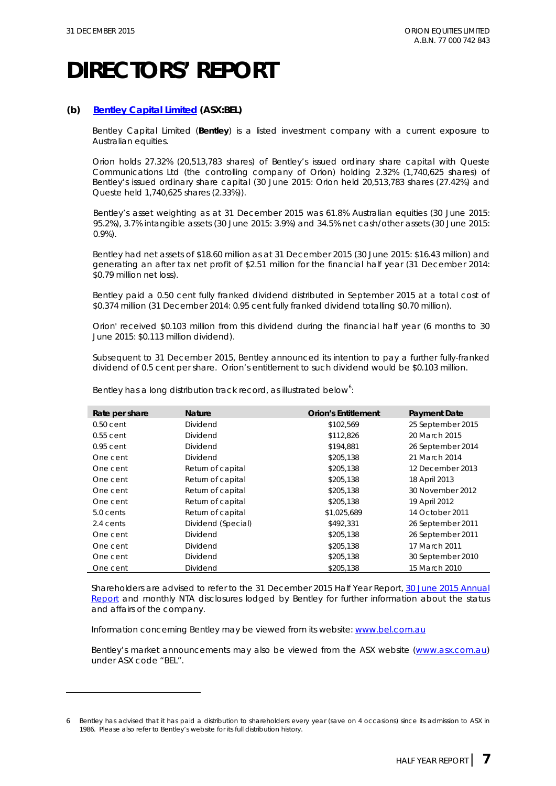-

### **DIRECTORS' REPORT**

#### **(b) [Bentley Capital Limited](http://www.bel.com.au/) (ASX:BEL)**

Bentley Capital Limited (**Bentley**) is a listed investment company with a current exposure to Australian equities.

Orion holds 27.32% (20,513,783 shares) of Bentley's issued ordinary share capital with Queste Communications Ltd (the controlling company of Orion) holding 2.32% (1,740,625 shares) of Bentley's issued ordinary share capital (30 June 2015: Orion held 20,513,783 shares (27.42%) and Queste held 1,740,625 shares (2.33%)).

Bentley's asset weighting as at 31 December 2015 was 61.8% Australian equities (30 June 2015: 95.2%), 3.7% intangible assets (30 June 2015: 3.9%) and 34.5% net cash/other assets (30 June 2015: 0.9%).

Bentley had net assets of \$18.60 million as at 31 December 2015 (30 June 2015: \$16.43 million) and generating an after tax net profit of \$2.51 million for the financial half year (31 December 2014: \$0.79 million net loss).

Bentley paid a 0.50 cent fully franked dividend distributed in September 2015 at a total cost of \$0.374 million (31 December 2014: 0.95 cent fully franked dividend totalling \$0.70 million).

Orion' received \$0.103 million from this dividend during the financial half year (6 months to 30 June 2015: \$0.113 million dividend).

Subsequent to 31 December 2015, Bentley announced its intention to pay a further fully-franked dividend of 0.5 cent per share. Orion's entitlement to such dividend would be \$0.103 million.

| Rate per share | <b>Nature</b>      | <b>Orion's Entitlement</b> | <b>Payment Date</b> |
|----------------|--------------------|----------------------------|---------------------|
| $0.50$ cent    | Dividend           | \$102,569                  | 25 September 2015   |
| $0.55$ cent    | Dividend           | \$112,826                  | 20 March 2015       |
| $0.95$ cent    | Dividend           | \$194,881                  | 26 September 2014   |
| One cent       | Dividend           | \$205,138                  | 21 March 2014       |
| One cent       | Return of capital  | \$205,138                  | 12 December 2013    |
| One cent       | Return of capital  | \$205,138                  | 18 April 2013       |
| One cent       | Return of capital  | \$205,138                  | 30 November 2012    |
| One cent       | Return of capital  | \$205,138                  | 19 April 2012       |
| 5.0 cents      | Return of capital  | \$1,025,689                | 14 October 2011     |
| 2.4 cents      | Dividend (Special) | \$492,331                  | 26 September 2011   |
| One cent       | Dividend           | \$205,138                  | 26 September 2011   |
| One cent       | Dividend           | \$205,138                  | 17 March 2011       |
| One cent       | Dividend           | \$205.138                  | 30 September 2010   |
| One cent       | Dividend           | \$205,138                  | 15 March 2010       |

Bentley has a long distribution track record, as illustrated below $^6$  $^6$ :

Shareholders are advised to refer to the 31 December 2015 Half Year Report[, 30 June 2015](http://www.bel.com.au/sites/default/files/20151027%20BEL%20ASX%202015%20Annual%20Report.pdf) Annual [Report](http://www.bel.com.au/sites/default/files/20151027%20BEL%20ASX%202015%20Annual%20Report.pdf) and monthly NTA disclosures lodged by Bentley for further information about the status and affairs of the company.

Information concerning Bentley may be viewed from its website[: www.bel.com.au](http://www.bel.com.au/) 

Bentley's market announcements may also be viewed from the ASX website [\(www.asx.com.au\)](http://www.asx.com.au/) under ASX code "BEL".

<span id="page-7-0"></span><sup>6</sup> Bentley has advised that it has paid a distribution to shareholders every year (save on 4 occasions) since its admission to ASX in 1986. Please also refer to Bentley's website for its full distribution history.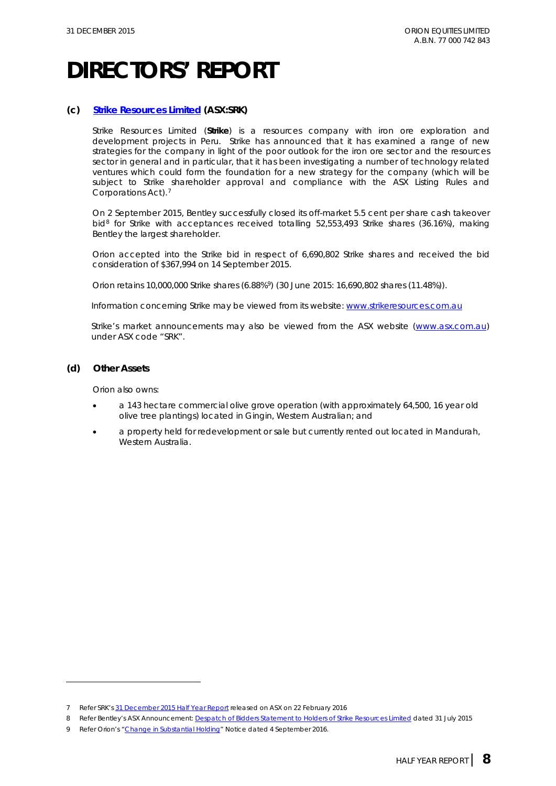#### **(c) [Strike Resources Limited](http://strikeresources.com.au/) (ASX:SRK)**

Strike Resources Limited (**Strike**) is a resources company with iron ore exploration and development projects in Peru. Strike has announced that it has examined a range of new strategies for the company in light of the poor outlook for the iron ore sector and the resources sector in general and in particular, that it has been investigating a number of technology related ventures which could form the foundation for a new strategy for the company (which will be subject to Strike shareholder approval and compliance with the ASX Listing Rules and Corporations Act).[7](#page-8-0)

On 2 September 2015, Bentley successfully closed its off-market 5.5 cent per share cash takeover bid<sup>[8](#page-8-1)</sup> for Strike with acceptances received totalling 52,553,493 Strike shares (36.16%), making Bentley the largest shareholder.

Orion accepted into the Strike bid in respect of 6,690,802 Strike shares and received the bid consideration of \$367,994 on 14 September 2015.

Orion retains 10,000,000 Strike shares (6.88%[9\)](#page-8-2) (30 June 2015: 16,690,802 shares (11.48%)).

Information concerning Strike may be viewed from its website: [www.strikeresources.com.au](http://www.strikeresources.com.au/) 

Strike's market announcements may also be viewed from the ASX website [\(www.asx.com.au\)](http://www.asx.com.au/) under ASX code "SRK".

#### **(d) Other Assets**

-

Orion also owns:

- a 143 hectare commercial olive grove operation (with approximately 64,500, 16 year old olive tree plantings) located in Gingin, Western Australian; and
- a property held for redevelopment or sale but currently rented out located in Mandurah, Western Australia.

<span id="page-8-0"></span><sup>7</sup> Refer SRK'[s 31 December 2015 Half Year Report](http://strikeresources.com.au/wp-content/uploads/2016/02/20160219-SRK-ASX-Half-Year-Report-31-Dec-15.pdf) released on ASX on 22 February 2016

<span id="page-8-1"></span><sup>8</sup> Refer Bentley's ASX Announcement[: Despatch of Bidders Statement to Holders of Strike Resources Limited](http://www.bel.com.au/sites/default/files/20150731%20BEL%20ASX%20Despatch%20of%20Bidders%20Statement%20to%20Holders%20of%20SRK.pdf) dated 31 July 2015

<span id="page-8-2"></span><sup>9</sup> Refer Orion's ["Change in Substantial Holding"](http://www.asx.com.au/asxpdf/20150904/pdf/43133s77t1vl9p.pdf) Notice dated 4 September 2016.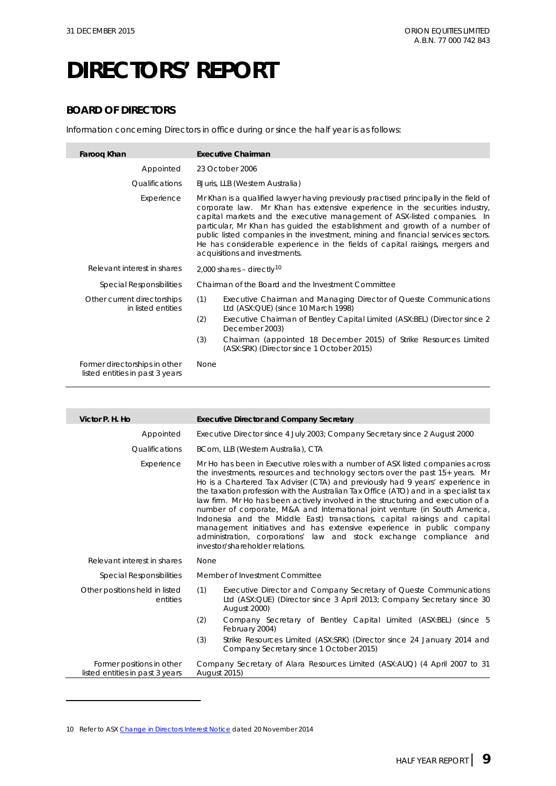#### **BOARD OF DIRECTORS**

Information concerning Directors in office during or since the half year is as follows:

| Faroog Khan                                                      | <b>Executive Chairman</b>                                                                                                                                                                                                                                                                                                                                                                                                                                                                                                             |
|------------------------------------------------------------------|---------------------------------------------------------------------------------------------------------------------------------------------------------------------------------------------------------------------------------------------------------------------------------------------------------------------------------------------------------------------------------------------------------------------------------------------------------------------------------------------------------------------------------------|
| Appointed                                                        | 23 October 2006                                                                                                                                                                                                                                                                                                                                                                                                                                                                                                                       |
| Qualifications                                                   | BJuris, LLB (Western Australia)                                                                                                                                                                                                                                                                                                                                                                                                                                                                                                       |
| Experience                                                       | Mr Khan is a qualified lawyer having previously practised principally in the field of<br>corporate law. Mr Khan has extensive experience in the securities industry,<br>capital markets and the executive management of ASX-listed companies. In<br>particular, Mr Khan has quided the establishment and growth of a number of<br>public listed companies in the investment, mining and financial services sectors.<br>He has considerable experience in the fields of capital raisings, mergers and<br>acquisitions and investments. |
| Relevant interest in shares                                      | 2,000 shares - directly <sup>10</sup>                                                                                                                                                                                                                                                                                                                                                                                                                                                                                                 |
| <b>Special Responsibilities</b>                                  | Chairman of the Board and the Investment Committee                                                                                                                                                                                                                                                                                                                                                                                                                                                                                    |
| Other current directorships<br>in listed entities                | (1)<br>Executive Chairman and Managing Director of Queste Communications<br>Ltd (ASX:QUE) (since 10 March 1998)                                                                                                                                                                                                                                                                                                                                                                                                                       |
|                                                                  | (2)<br>Executive Chairman of Bentley Capital Limited (ASX:BEL) (Director since 2<br>December 2003)                                                                                                                                                                                                                                                                                                                                                                                                                                    |
|                                                                  | (3)<br>Chairman (appointed 18 December 2015) of Strike Resources Limited<br>(ASX:SRK) (Director since 1 October 2015)                                                                                                                                                                                                                                                                                                                                                                                                                 |
| Former directorships in other<br>listed entities in past 3 years | <b>None</b>                                                                                                                                                                                                                                                                                                                                                                                                                                                                                                                           |

| Victor P. H. Ho                                              | <b>Executive Director and Company Secretary</b>                                                                                                                                                                                                                                                                                                                                                                                                                                                                                                                                                                                                                                                                                                                             |
|--------------------------------------------------------------|-----------------------------------------------------------------------------------------------------------------------------------------------------------------------------------------------------------------------------------------------------------------------------------------------------------------------------------------------------------------------------------------------------------------------------------------------------------------------------------------------------------------------------------------------------------------------------------------------------------------------------------------------------------------------------------------------------------------------------------------------------------------------------|
| Appointed                                                    | Executive Director since 4 July 2003; Company Secretary since 2 August 2000                                                                                                                                                                                                                                                                                                                                                                                                                                                                                                                                                                                                                                                                                                 |
| Qualifications                                               | BCom, LLB (Western Australia), CTA                                                                                                                                                                                                                                                                                                                                                                                                                                                                                                                                                                                                                                                                                                                                          |
| Experience                                                   | Mr Ho has been in Executive roles with a number of ASX listed companies across<br>the investments, resources and technology sectors over the past 15+ years. Mr<br>Ho is a Chartered Tax Adviser (CTA) and previously had 9 years' experience in<br>the taxation profession with the Australian Tax Office (ATO) and in a specialist tax<br>law firm. Mr Ho has been actively involved in the structuring and execution of a<br>number of corporate, M&A and International joint venture (in South America,<br>Indonesia and the Middle East) transactions, capital raisings and capital<br>management initiatives and has extensive experience in public company<br>administration, corporations' law and stock exchange compliance and<br>investor/shareholder relations. |
| Relevant interest in shares                                  | <b>None</b>                                                                                                                                                                                                                                                                                                                                                                                                                                                                                                                                                                                                                                                                                                                                                                 |
| <b>Special Responsibilities</b>                              | Member of Investment Committee                                                                                                                                                                                                                                                                                                                                                                                                                                                                                                                                                                                                                                                                                                                                              |
| Other positions held in listed<br>entities                   | (1)<br>Executive Director and Company Secretary of Queste Communications<br>Ltd (ASX:QUE) (Director since 3 April 2013; Company Secretary since 30<br><b>August 2000)</b>                                                                                                                                                                                                                                                                                                                                                                                                                                                                                                                                                                                                   |
|                                                              | (2)<br>Company Secretary of Bentley Capital Limited (ASX:BEL) (since 5<br>February 2004)                                                                                                                                                                                                                                                                                                                                                                                                                                                                                                                                                                                                                                                                                    |
|                                                              | (3)<br>Strike Resources Limited (ASX:SRK) (Director since 24 January 2014 and<br>Company Secretary since 1 October 2015)                                                                                                                                                                                                                                                                                                                                                                                                                                                                                                                                                                                                                                                    |
| Former positions in other<br>listed entities in past 3 years | Company Secretary of Alara Resources Limited (ASX:AUQ) (4 April 2007 to 31<br><b>August 2015)</b>                                                                                                                                                                                                                                                                                                                                                                                                                                                                                                                                                                                                                                                                           |

<span id="page-9-0"></span><sup>10</sup> Refer to AS[X Change in Directors Interest Notice](http://orionequities.com.au/sites/default/files/20141120%20OEQ%20Appendix%203Y%20-%20Change%20of%20Directors%20Interest%20Notice%20-%20F%20Khan.pdf) dated 20 November 2014

-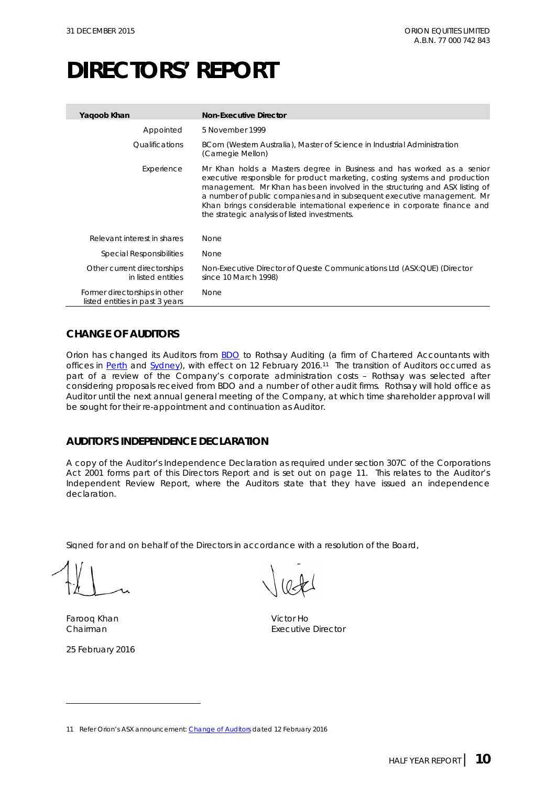| Yaqoob Khan                                                      | <b>Non-Executive Director</b>                                                                                                                                                                                                                                                                                                                                                                                                                 |
|------------------------------------------------------------------|-----------------------------------------------------------------------------------------------------------------------------------------------------------------------------------------------------------------------------------------------------------------------------------------------------------------------------------------------------------------------------------------------------------------------------------------------|
| Appointed                                                        | 5 November 1999                                                                                                                                                                                                                                                                                                                                                                                                                               |
| <i><u><b>Oualifications</b></u></i>                              | BCom (Western Australia), Master of Science in Industrial Administration<br>(Carnegie Mellon)                                                                                                                                                                                                                                                                                                                                                 |
| Experience                                                       | Mr Khan holds a Masters degree in Business and has worked as a senior<br>executive responsible for product marketing, costing systems and production<br>management. Mr Khan has been involved in the structuring and ASX listing of<br>a number of public companies and in subsequent executive management. Mr<br>Khan brings considerable international experience in corporate finance and<br>the strategic analysis of listed investments. |
| Relevant interest in shares                                      | <b>None</b>                                                                                                                                                                                                                                                                                                                                                                                                                                   |
| Special Responsibilities                                         | None                                                                                                                                                                                                                                                                                                                                                                                                                                          |
| Other current directorships<br>in listed entities                | Non-Executive Director of Queste Communications Ltd (ASX:QUE) (Director<br>since 10 March 1998)                                                                                                                                                                                                                                                                                                                                               |
| Former directorships in other<br>listed entities in past 3 years | None                                                                                                                                                                                                                                                                                                                                                                                                                                          |

#### **CHANGE OF AUDITORS**

Orion has changed its Auditors from [BDO](http://www.bdo.com.au/perth) to Rothsay Auditing (a firm of Chartered Accountants with offices in [Perth](http://rothsayresources.com.au/) and [Sydney\)](http://www.rothsay.com.au/about-us/), with effect on 12 February 2016.<sup>11</sup> The transition of Auditors occurred as part of a review of the Company's corporate administration costs - Rothsay was selected after considering proposals received from BDO and a number of other audit firms. Rothsay will hold office as Auditor until the next annual general meeting of the Company, at which time shareholder approval will be sought for their re-appointment and continuation as Auditor.

#### **AUDITOR'S INDEPENDENCE DECLARATION**

A copy of the Auditor's Independence Declaration as required under section 307C of the *Corporations Act 2001* forms part of this Directors Report and is set out on page 11. This relates to the Auditor's Independent Review Report, where the Auditors state that they have issued an independence declaration.

Signed for and on behalf of the Directors in accordance with a resolution of the Board,

Farooq Khan Victor Ho

-

25 February 2016

Chairman **Executive Director** Enoodin

<span id="page-10-0"></span><sup>11</sup> Refer Orion's ASX announcement[: Change of Auditors](http://orionequities.com.au/sites/default/files/20160212%20OEQ%20ASX%20Change%20of%20Auditors.pdf) dated 12 February 2016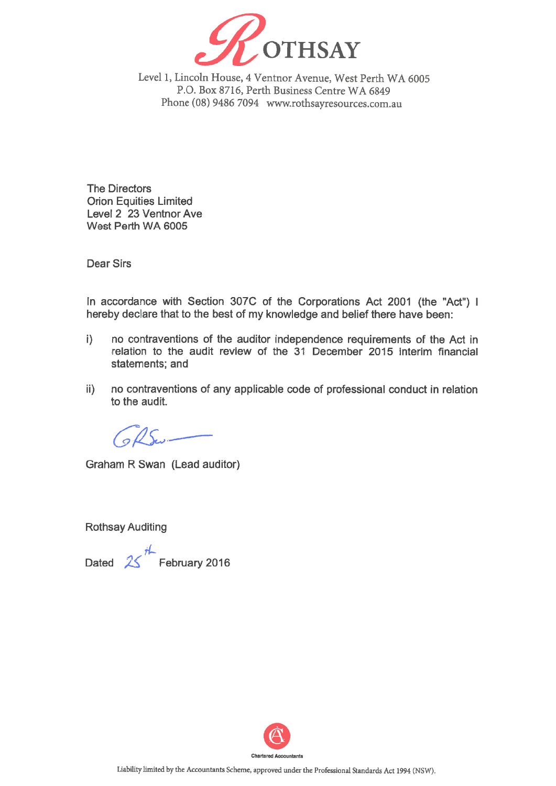

Level 1, Lincoln House, 4 Ventnor Avenue, West Perth WA 6005 P.O. Box 8716, Perth Business Centre WA 6849 Phone (08) 9486 7094 www.rothsayresources.com.au

**The Directors Orion Equities Limited** Level 2 23 Ventnor Ave West Perth WA 6005

**Dear Sirs** 

In accordance with Section 307C of the Corporations Act 2001 (the "Act") I hereby declare that to the best of my knowledge and belief there have been:

- no contraventions of the auditor independence requirements of the Act in  $\mathbf{i}$ relation to the audit review of the 31 December 2015 interim financial statements: and
- no contraventions of any applicable code of professional conduct in relation  $\ket{\mathsf{i}}$ to the audit.

Colle.

Graham R Swan (Lead auditor)

**Rothsay Auditing** 

Dated  $25$ <sup>th</sup> February 2016

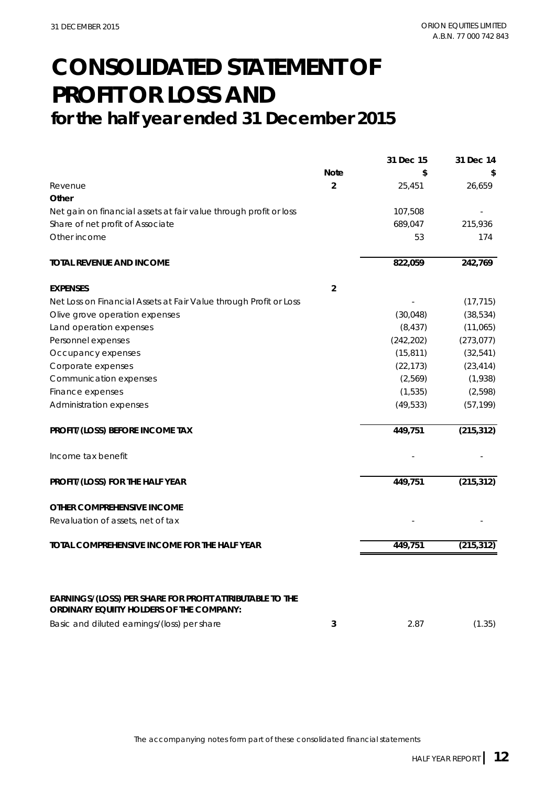### **CONSOLIDATED STATEMENT OF PROFIT OR LOSS AND for the half year ended 31 December 2015**

|                                                                                                      |                | 31 Dec 15  | 31 Dec 14  |
|------------------------------------------------------------------------------------------------------|----------------|------------|------------|
|                                                                                                      | <b>Note</b>    | \$         |            |
| Revenue                                                                                              | $\overline{2}$ | 25,451     | 26,659     |
| Other                                                                                                |                |            |            |
| Net gain on financial assets at fair value through profit or loss                                    |                | 107,508    |            |
| Share of net profit of Associate                                                                     |                | 689,047    | 215,936    |
| Other income                                                                                         |                | 53         | 174        |
| <b>TOTAL REVENUE AND INCOME</b>                                                                      |                | 822,059    | 242,769    |
| <b>EXPENSES</b>                                                                                      | $\overline{2}$ |            |            |
| Net Loss on Financial Assets at Fair Value through Profit or Loss                                    |                |            | (17, 715)  |
| Olive grove operation expenses                                                                       |                | (30,048)   | (38, 534)  |
| Land operation expenses                                                                              |                | (8, 437)   | (11,065)   |
| Personnel expenses                                                                                   |                | (242, 202) | (273, 077) |
| Occupancy expenses                                                                                   |                | (15, 811)  | (32, 541)  |
| Corporate expenses                                                                                   |                | (22, 173)  | (23, 414)  |
| Communication expenses                                                                               |                | (2,569)    | (1,938)    |
| Finance expenses                                                                                     |                | (1, 535)   | (2,598)    |
| Administration expenses                                                                              |                | (49, 533)  | (57, 199)  |
| PROFIT/(LOSS) BEFORE INCOME TAX                                                                      |                | 449,751    | (215, 312) |
| Income tax benefit                                                                                   |                |            |            |
| PROFIT/(LOSS) FOR THE HALF YEAR                                                                      |                | 449,751    | (215, 312) |
| OTHER COMPREHENSIVE INCOME                                                                           |                |            |            |
| Revaluation of assets, net of tax                                                                    |                |            |            |
| TOTAL COMPREHENSIVE INCOME FOR THE HALF YEAR                                                         |                | 449,751    | (215, 312) |
|                                                                                                      |                |            |            |
| EARNINGS/(LOSS) PER SHARE FOR PROFIT ATTRIBUTABLE TO THE<br>ORDINARY EQUIITY HOLDERS OF THE COMPANY: |                |            |            |
| Basic and diluted earnings/(loss) per share                                                          | 3              | 2.87       | (1.35)     |
|                                                                                                      |                |            |            |

The accompanying notes form part of these consolidated financial statements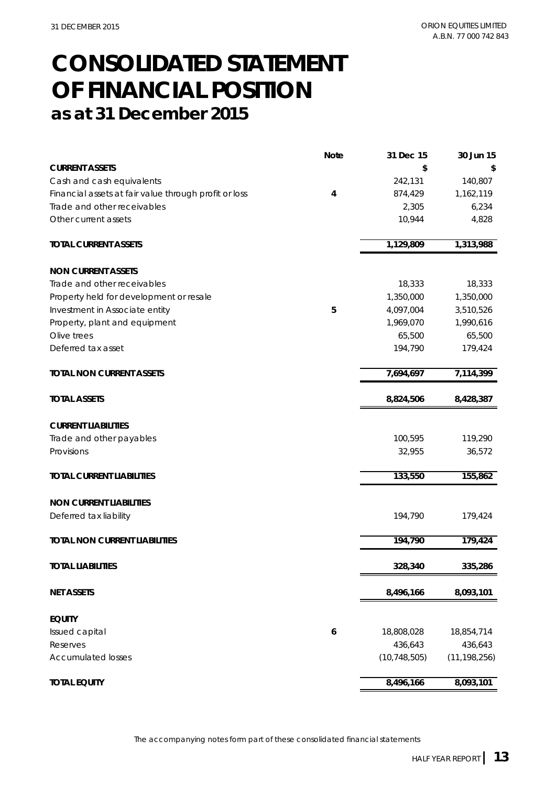### **CONSOLIDATED STATEMENT as at 31 December 2015 OF FINANCIAL POSITION**

|                                                       | <b>Note</b> | 31 Dec 15      | 30 Jun 15      |
|-------------------------------------------------------|-------------|----------------|----------------|
| <b>CURRENT ASSETS</b>                                 |             | \$             |                |
| Cash and cash equivalents                             |             | 242,131        | 140,807        |
| Financial assets at fair value through profit or loss | 4           | 874,429        | 1,162,119      |
| Trade and other receivables                           |             | 2,305          | 6,234          |
| Other current assets                                  |             | 10,944         | 4,828          |
| <b>TOTAL CURRENT ASSETS</b>                           |             | 1,129,809      | 1,313,988      |
| <b>NON CURRENT ASSETS</b>                             |             |                |                |
| Trade and other receivables                           |             | 18,333         | 18,333         |
| Property held for development or resale               |             | 1,350,000      | 1,350,000      |
| Investment in Associate entity                        | 5           | 4,097,004      | 3,510,526      |
| Property, plant and equipment                         |             | 1,969,070      | 1,990,616      |
| Olive trees                                           |             | 65,500         | 65,500         |
| Deferred tax asset                                    |             | 194,790        | 179,424        |
| <b>TOTAL NON CURRENT ASSETS</b>                       |             | 7,694,697      | 7,114,399      |
| <b>TOTAL ASSETS</b>                                   |             | 8,824,506      | 8,428,387      |
| <b>CURRENT LIABILITIES</b>                            |             |                |                |
| Trade and other payables                              |             | 100,595        | 119,290        |
| Provisions                                            |             | 32,955         | 36,572         |
| <b>TOTAL CURRENT LIABILITIES</b>                      |             | 133,550        | 155,862        |
| <b>NON CURRENT LIABILITIES</b>                        |             |                |                |
| Deferred tax liability                                |             | 194,790        | 179,424        |
| <b>TOTAL NON CURRENT LIABILITIES</b>                  |             | 194,790        | 179,424        |
| <b>TOTAL LIABILITIES</b>                              |             | 328,340        | 335,286        |
| <b>NET ASSETS</b>                                     |             | 8,496,166      | 8,093,101      |
| <b>EQUITY</b>                                         |             |                |                |
| Issued capital                                        | 6           | 18,808,028     | 18,854,714     |
| Reserves                                              |             | 436,643        | 436,643        |
| <b>Accumulated losses</b>                             |             | (10, 748, 505) | (11, 198, 256) |
| <b>TOTAL EQUITY</b>                                   |             | 8,496,166      | 8,093,101      |

The accompanying notes form part of these consolidated financial statements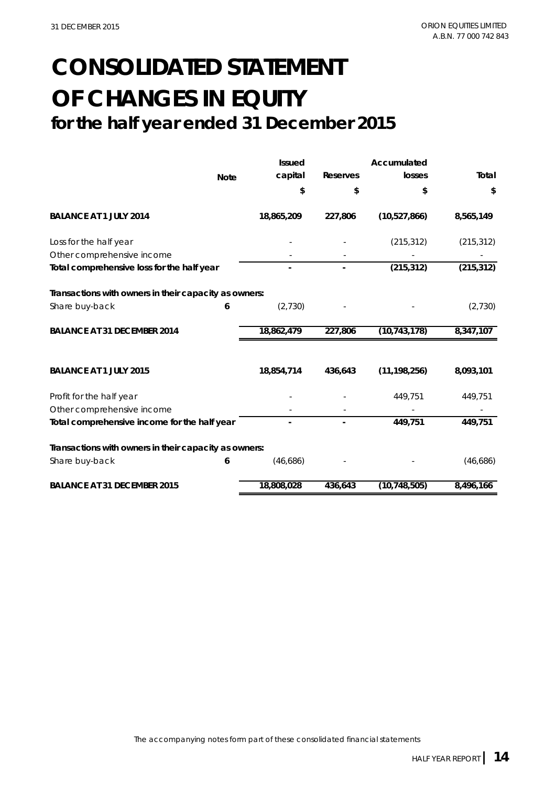### **for the half year ended 31 December 2015 CONSOLIDATED STATEMENT OF CHANGES IN EQUITY**

**Issued Accumulated Note capital Reserves losses Total \$\$ \$ \$ BALANCE AT 1 JULY 2014 18,865,209 227,806 (10,527,866) 8,565,149**  Loss for the half year  $(215,312)$   $(215,312)$   $(215,312)$ Other comprehensive income Total comprehensive loss for the half year **-** - (215,312) (215,312) (215,312) **Transactions with owners in their capacity as owners:** Share buy-back **6** (2,730) **6** (2,730) **6** (2,730) **BALANCE AT 31 DECEMBER 2014 18,862,479 227,806 (10,743,178) 8,347,107 BALANCE AT 1 JULY 2015 18,854,714 436,643 (11,198,256) 8,093,101** Profit for the half year  $449,751$   $449,751$   $449,751$ Other comprehensive income Total comprehensive income for the half year **1998** and 149,751 449,751 449,751 **Transactions with owners in their capacity as owners:** Share buy-back **6** (46,686) - - (46,686) (46,686) **BALANCE AT 31 DECEMBER 2015 18,808,028 436,643 (10,748,505) 8,496,166**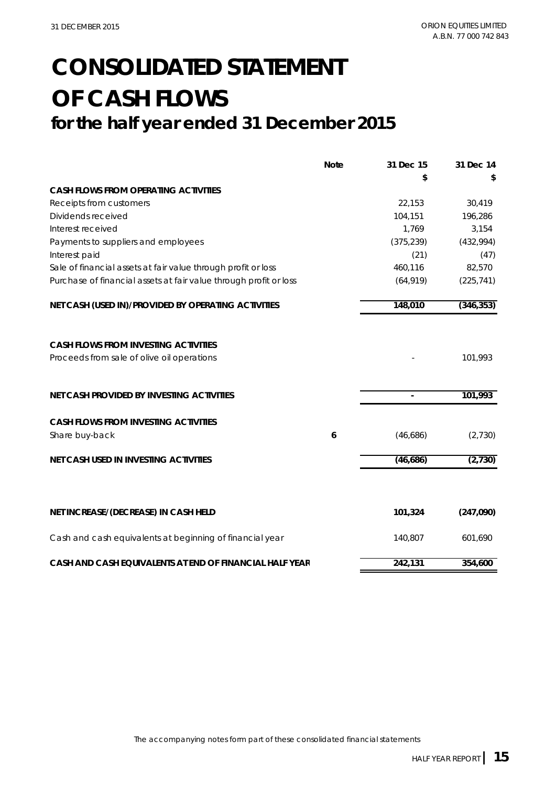### **CONSOLIDATED STATEMENT OF CASH FLOWS for the half year ended 31 December 2015**

|                                                                   | <b>Note</b> | 31 Dec 15      | 31 Dec 14  |
|-------------------------------------------------------------------|-------------|----------------|------------|
|                                                                   |             | \$             |            |
| <b>CASH FLOWS FROM OPERATING ACTIVITIES</b>                       |             |                |            |
| Receipts from customers                                           |             | 22,153         | 30,419     |
| Dividends received                                                |             | 104,151        | 196,286    |
| Interest received                                                 |             | 1,769          | 3,154      |
| Payments to suppliers and employees                               |             | (375, 239)     | (432,994)  |
| Interest paid                                                     |             | (21)           | (47)       |
| Sale of financial assets at fair value through profit or loss     |             | 460,116        | 82,570     |
| Purchase of financial assets at fair value through profit or loss |             | (64, 919)      | (225, 741) |
| NET CASH (USED IN)/PROVIDED BY OPERATING ACTIVITIES               |             | 148,010        | (346, 353) |
|                                                                   |             |                |            |
| <b>CASH FLOWS FROM INVESTING ACTIVITIES</b>                       |             |                |            |
| Proceeds from sale of olive oil operations                        |             |                | 101,993    |
|                                                                   |             |                |            |
| NET CASH PROVIDED BY INVESTING ACTIVITIES                         |             | $\blacksquare$ | 101,993    |
| <b>CASH FLOWS FROM INVESTING ACTIVITIES</b>                       |             |                |            |
| Share buy-back                                                    | 6           | (46,686)       | (2,730)    |
| NET CASH USED IN INVESTING ACTIVITIES                             |             | (46,686)       | (2,730)    |
|                                                                   |             |                |            |
| NET INCREASE/(DECREASE) IN CASH HELD                              |             | 101,324        | (247,090)  |
| Cash and cash equivalents at beginning of financial year          |             | 140,807        | 601,690    |
| CASH AND CASH EQUIVALENTS AT END OF FINANCIAL HALF YEAR           |             | 242,131        | 354,600    |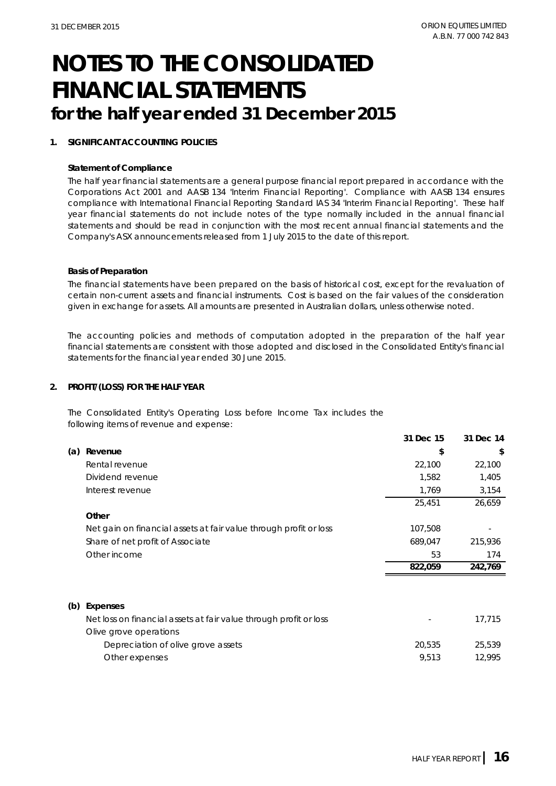#### **1. SIGNIFICANT ACCOUNTING POLICIES**

#### **Statement of Compliance**

The half year financial statements are a general purpose financial report prepared in accordance with the Corporations Act 2001 and AASB 134 'Interim Financial Reporting'. Compliance with AASB 134 ensures compliance with International Financial Reporting Standard IAS 34 'Interim Financial Reporting'. These half year financial statements do not include notes of the type normally included in the annual financial statements and should be read in conjunction with the most recent annual financial statements and the Company's ASX announcements released from 1 July 2015 to the date of this report.

#### **Basis of Preparation**

The financial statements have been prepared on the basis of historical cost, except for the revaluation of certain non-current assets and financial instruments. Cost is based on the fair values of the consideration given in exchange for assets. All amounts are presented in Australian dollars, unless otherwise noted.

The accounting policies and methods of computation adopted in the preparation of the half year financial statements are consistent with those adopted and disclosed in the Consolidated Entity's financial statements for the financial year ended 30 June 2015.

#### **2. PROFIT/(LOSS) FOR THE HALF YEAR**

The Consolidated Entity's Operating Loss before Income Tax includes the following items of revenue and expense:

|     |                                                                   | 31 Dec 15 | 31 Dec 14 |
|-----|-------------------------------------------------------------------|-----------|-----------|
| (a) | Revenue                                                           | \$        | \$        |
|     | Rental revenue                                                    | 22,100    | 22,100    |
|     | Dividend revenue                                                  | 1,582     | 1,405     |
|     | Interest revenue                                                  | 1,769     | 3,154     |
|     |                                                                   | 25,451    | 26,659    |
|     | Other                                                             |           |           |
|     | Net gain on financial assets at fair value through profit or loss | 107,508   |           |
|     | Share of net profit of Associate                                  | 689,047   | 215,936   |
|     | Other income                                                      | 53        | 174       |
|     |                                                                   | 822,059   | 242,769   |
|     |                                                                   |           |           |
| (b) | Expenses                                                          |           |           |
|     | Net loss on financial assets at fair value through profit or loss |           | 17,715    |
|     | Olive grove operations                                            |           |           |
|     | Depreciation of olive grove assets                                | 20,535    | 25,539    |
|     | Other expenses                                                    | 9,513     | 12,995    |
|     |                                                                   |           |           |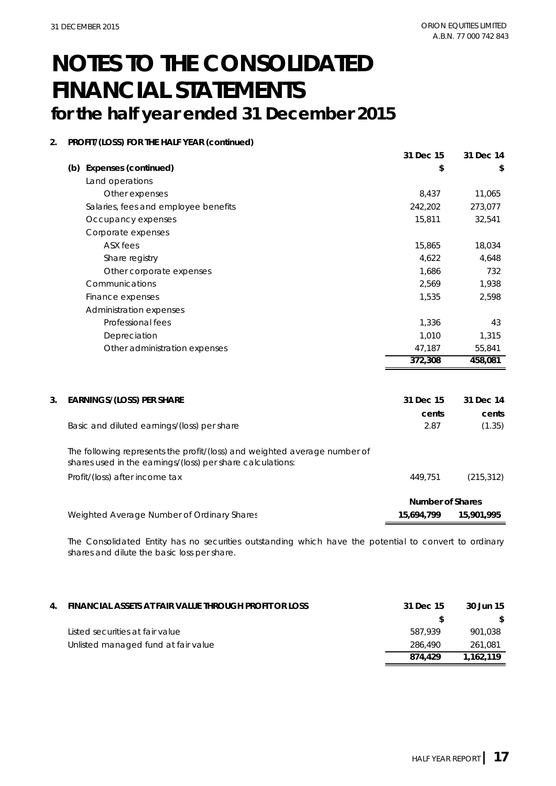#### **2. PROFIT/(LOSS) FOR THE HALF YEAR (continued)**

|                                      | 31 Dec 15 | 31 Dec 14 |
|--------------------------------------|-----------|-----------|
| <b>Expenses (continued)</b><br>(b)   | \$        | \$        |
| Land operations                      |           |           |
| Other expenses                       | 8,437     | 11,065    |
| Salaries, fees and employee benefits | 242,202   | 273,077   |
| Occupancy expenses                   | 15,811    | 32,541    |
| Corporate expenses                   |           |           |
| ASX fees                             | 15,865    | 18,034    |
| Share registry                       | 4,622     | 4,648     |
| Other corporate expenses             | 1,686     | 732       |
| Communications                       | 2,569     | 1,938     |
| Finance expenses                     | 1,535     | 2,598     |
| Administration expenses              |           |           |
| Professional fees                    | 1,336     | 43        |
| Depreciation                         | 1,010     | 1,315     |
| Other administration expenses        | 47,187    | 55,841    |
|                                      | 372,308   | 458,081   |

| 3. | <b>EARNINGS/(LOSS) PER SHARE</b>                                                                                                        | 31 Dec 15        | 31 Dec 14  |
|----|-----------------------------------------------------------------------------------------------------------------------------------------|------------------|------------|
|    |                                                                                                                                         | cents            | cents      |
|    | Basic and diluted earnings/(loss) per share                                                                                             | 2.87             | (1.35)     |
|    | The following represents the profit/(loss) and weighted average number of<br>shares used in the earnings/(loss) per share calculations: |                  |            |
|    | Profit/(loss) after income tax                                                                                                          | 449.751          | (215, 312) |
|    |                                                                                                                                         | Number of Shares |            |
|    | Weighted Average Number of Ordinary Shares                                                                                              | 15.694.799       | 15,901,995 |

The Consolidated Entity has no securities outstanding which have the potential to convert to ordinary shares and dilute the basic loss per share.

| 4. | FINANCIAL ASSETS AT FAIR VALUE THROUGH PROFIT OR LOSS | 31 Dec 15 | 30 Jun 15 |
|----|-------------------------------------------------------|-----------|-----------|
|    |                                                       |           | S.        |
|    | Listed securities at fair value                       | 587.939   | 901.038   |
|    | Unlisted managed fund at fair value                   | 286.490   | 261.081   |
|    |                                                       | 874.429   | 1.162.119 |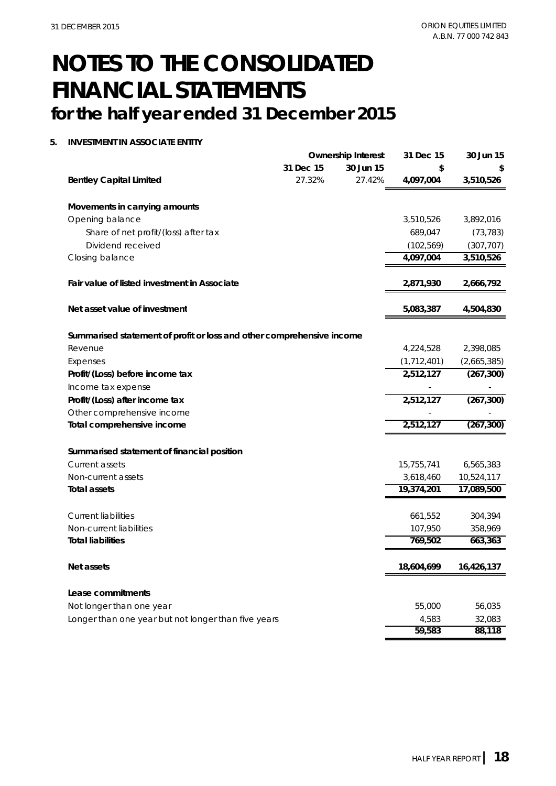#### **5. INVESTMENT IN ASSOCIATE ENTITY**

|                                                                       |           | <b>Ownership Interest</b> | 31 Dec 15     | 30 Jun 15   |
|-----------------------------------------------------------------------|-----------|---------------------------|---------------|-------------|
|                                                                       | 31 Dec 15 | 30 Jun 15                 | \$            |             |
| <b>Bentley Capital Limited</b>                                        | 27.32%    | 27.42%                    | 4,097,004     | 3,510,526   |
| Movements in carrying amounts                                         |           |                           |               |             |
| Opening balance                                                       |           |                           | 3,510,526     | 3,892,016   |
| Share of net profit/(loss) after tax                                  |           |                           | 689,047       | (73, 783)   |
| Dividend received                                                     |           |                           | (102, 569)    | (307, 707)  |
| Closing balance                                                       |           |                           | 4,097,004     | 3,510,526   |
| Fair value of listed investment in Associate                          |           |                           | 2,871,930     | 2,666,792   |
| Net asset value of investment                                         |           |                           | 5,083,387     | 4,504,830   |
| Summarised statement of profit or loss and other comprehensive income |           |                           |               |             |
| Revenue                                                               |           |                           | 4,224,528     | 2,398,085   |
| Expenses                                                              |           |                           | (1, 712, 401) | (2,665,385) |
| Profit/(Loss) before income tax                                       |           |                           | 2,512,127     | (267, 300)  |
| Income tax expense                                                    |           |                           |               |             |
| Profit/(Loss) after income tax                                        |           |                           | 2,512,127     | (267, 300)  |
| Other comprehensive income                                            |           |                           |               |             |
| Total comprehensive income                                            |           |                           | 2,512,127     | (267, 300)  |
| Summarised statement of financial position                            |           |                           |               |             |
| Current assets                                                        |           |                           | 15,755,741    | 6,565,383   |
| Non-current assets                                                    |           |                           | 3,618,460     | 10,524,117  |
| <b>Total assets</b>                                                   |           |                           | 19,374,201    | 17,089,500  |
| <b>Current liabilities</b>                                            |           |                           | 661,552       | 304,394     |
| Non-current liabilities                                               |           |                           | 107,950       | 358,969     |
| <b>Total liabilities</b>                                              |           |                           | 769,502       | 663,363     |
| Net assets                                                            |           |                           | 18,604,699    | 16,426,137  |
| Lease commitments                                                     |           |                           |               |             |
| Not longer than one year                                              |           |                           | 55,000        | 56,035      |
| Longer than one year but not longer than five years                   |           |                           | 4,583         | 32,083      |
|                                                                       |           |                           | 59,583        | 88,118      |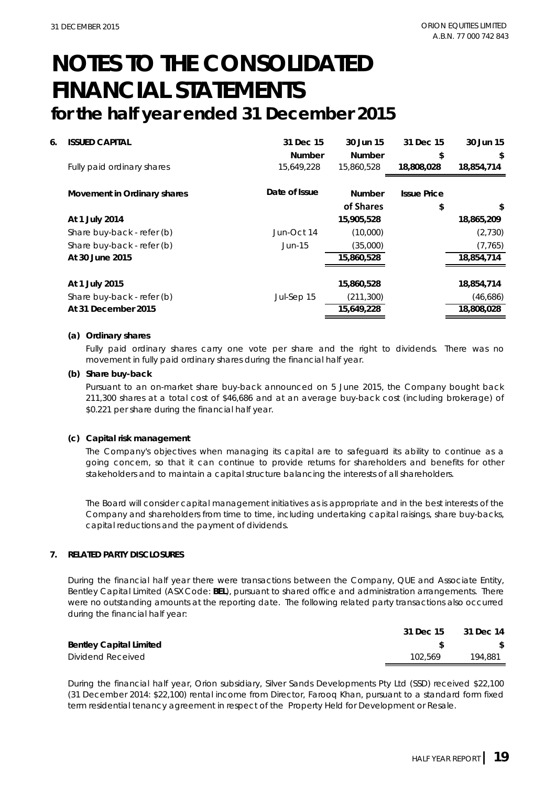| 6. | <b>ISSUED CAPITAL</b>       | 31 Dec 15<br><b>Number</b> | 30 Jun 15<br><b>Number</b> | 31 Dec 15<br>\$    | 30 Jun 15<br>\$  |
|----|-----------------------------|----------------------------|----------------------------|--------------------|------------------|
|    | Fully paid ordinary shares  | 15,649,228                 | 15,860,528                 | 18,808,028         | 18.854.714       |
|    | Movement in Ordinary shares | Date of Issue              | <b>Number</b>              | <b>Issue Price</b> |                  |
|    | At 1 July 2014              |                            | of Shares<br>15,905,528    | \$                 | \$<br>18,865,209 |
|    | Share buy-back - refer (b)  | Jun-Oct 14                 | (10,000)                   |                    | (2,730)          |
|    | Share buy-back - refer (b)  | Jun-15                     | (35,000)                   |                    | (7, 765)         |
|    | At 30 June 2015             |                            | 15,860,528                 |                    | 18,854,714       |
|    | At 1 July 2015              |                            | 15,860,528                 |                    | 18,854,714       |
|    | Share buy-back - refer (b)  | Jul-Sep 15                 | (211, 300)                 |                    | (46,686)         |
|    | At 31 December 2015         |                            | 15,649,228                 |                    | 18,808,028       |

#### **(a) Ordinary shares**

Fully paid ordinary shares carry one vote per share and the right to dividends. There was no movement in fully paid ordinary shares during the financial half year.

#### **(b) Share buy-back**

Pursuant to an on-market share buy-back announced on 5 June 2015, the Company bought back 211,300 shares at a total cost of \$46,686 and at an average buy-back cost (including brokerage) of \$0.221 per share during the financial half year.

#### **(c) Capital risk management**

The Company's objectives when managing its capital are to safeguard its ability to continue as a going concern, so that it can continue to provide returns for shareholders and benefits for other stakeholders and to maintain a capital structure balancing the interests of all shareholders.

The Board will consider capital management initiatives as is appropriate and in the best interests of the Company and shareholders from time to time, including undertaking capital raisings, share buy-backs, capital reductions and the payment of dividends.

#### **7. RELATED PARTY DISCLOSURES**

During the financial half year there were transactions between the Company, QUE and Associate Entity, Bentley Capital Limited (ASX Code: **BEL**), pursuant to shared office and administration arrangements. There were no outstanding amounts at the reporting date. The following related party transactions also occurred during the financial half year:

|                                | 31 Dec 15 | 31 Dec 14 |
|--------------------------------|-----------|-----------|
| <b>Bentley Capital Limited</b> |           |           |
| Dividend Received              | 102.569   | 194.881   |

During the financial half year, Orion subsidiary, Silver Sands Developments Pty Ltd (SSD) received \$22,100 (31 December 2014: \$22,100) rental income from Director, Farooq Khan, pursuant to a standard form fixed term residential tenancy agreement in respect of the Property Held for Development or Resale.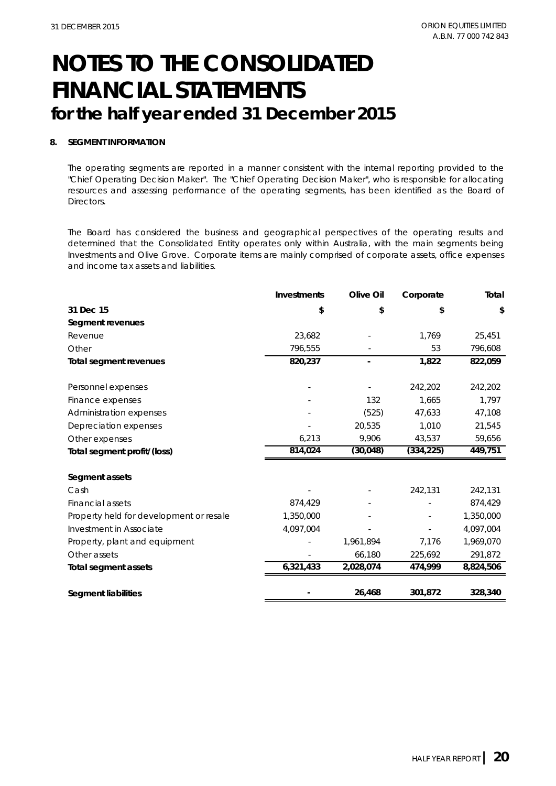#### **8. SEGMENT INFORMATION**

The operating segments are reported in a manner consistent with the internal reporting provided to the "Chief Operating Decision Maker". The "Chief Operating Decision Maker", who is responsible for allocating resources and assessing performance of the operating segments, has been identified as the Board of Directors.

The Board has considered the business and geographical perspectives of the operating results and determined that the Consolidated Entity operates only within Australia, with the main segments being Investments and Olive Grove. Corporate items are mainly comprised of corporate assets, office expenses and income tax assets and liabilities.

|                                         | Investments | Olive Oil | Corporate  | Total     |
|-----------------------------------------|-------------|-----------|------------|-----------|
| 31 Dec 15                               | \$          | \$        | \$         | \$        |
| Segment revenues                        |             |           |            |           |
| Revenue                                 | 23,682      |           | 1,769      | 25,451    |
| Other                                   | 796,555     |           | 53         | 796,608   |
| Total segment revenues                  | 820,237     |           | 1,822      | 822,059   |
| Personnel expenses                      |             |           | 242,202    | 242,202   |
| Finance expenses                        |             | 132       | 1,665      | 1,797     |
| Administration expenses                 |             | (525)     | 47,633     | 47,108    |
| Depreciation expenses                   |             | 20,535    | 1,010      | 21,545    |
| Other expenses                          | 6,213       | 9,906     | 43,537     | 59,656    |
| Total segment profit/(loss)             | 814,024     | (30, 048) | (334, 225) | 449,751   |
|                                         |             |           |            |           |
| Segment assets                          |             |           |            |           |
| Cash                                    |             |           | 242,131    | 242,131   |
| Financial assets                        | 874,429     |           |            | 874,429   |
| Property held for development or resale | 1,350,000   |           |            | 1,350,000 |
| Investment in Associate                 | 4,097,004   |           |            | 4,097,004 |
| Property, plant and equipment           |             | 1,961,894 | 7,176      | 1,969,070 |
| Other assets                            |             | 66,180    | 225,692    | 291,872   |
| <b>Total segment assets</b>             | 6,321,433   | 2,028,074 | 474,999    | 8,824,506 |
| Segment liabilities                     |             | 26,468    | 301,872    | 328,340   |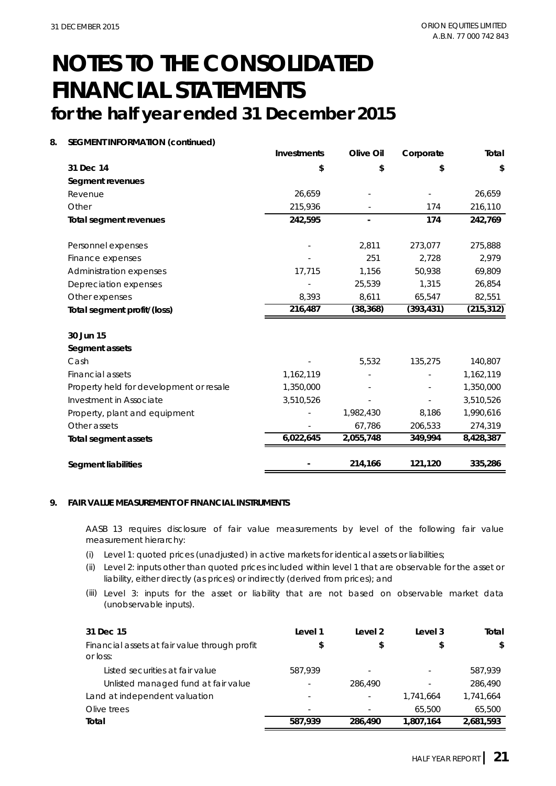#### **8. SEGMENT INFORMATION (continued)**

|                                         | <b>Investments</b> | Olive Oil | Corporate  | Total      |
|-----------------------------------------|--------------------|-----------|------------|------------|
| 31 Dec 14                               | \$                 | \$        | \$         | \$         |
| Segment revenues                        |                    |           |            |            |
| Revenue                                 | 26,659             |           |            | 26,659     |
| Other                                   | 215,936            |           | 174        | 216,110    |
| <b>Total segment revenues</b>           | 242,595            |           | 174        | 242,769    |
| Personnel expenses                      |                    | 2,811     | 273,077    | 275,888    |
| Finance expenses                        |                    | 251       | 2,728      | 2,979      |
| Administration expenses                 | 17,715             | 1,156     | 50,938     | 69,809     |
| Depreciation expenses                   |                    | 25,539    | 1,315      | 26,854     |
| Other expenses                          | 8,393              | 8,611     | 65,547     | 82,551     |
| Total segment profit/(loss)             | 216,487            | (38, 368) | (393, 431) | (215, 312) |
| 30 Jun 15                               |                    |           |            |            |
| Segment assets                          |                    |           |            |            |
| Cash                                    |                    | 5,532     | 135,275    | 140,807    |
| <b>Financial assets</b>                 | 1,162,119          |           |            | 1,162,119  |
| Property held for development or resale | 1,350,000          |           |            | 1,350,000  |
| Investment in Associate                 | 3,510,526          |           |            | 3,510,526  |
| Property, plant and equipment           |                    | 1,982,430 | 8,186      | 1,990,616  |
| Other assets                            |                    | 67,786    | 206,533    | 274,319    |
| <b>Total segment assets</b>             | 6,022,645          | 2,055,748 | 349,994    | 8,428,387  |
| <b>Segment liabilities</b>              |                    | 214,166   | 121,120    | 335,286    |

#### **9. FAIR VALUE MEASUREMENT OF FINANCIAL INSTRUMENTS**

AASB 13 requires disclosure of fair value measurements by level of the following fair value measurement hierarchy:

- (i) Level 1: quoted prices (unadjusted) in active markets for identical assets or liabilities;
- (ii) Level 2: inputs other than quoted prices included within level 1 that are observable for the asset or liability, either directly (as prices) or indirectly (derived from prices); and
- (iii) Level 3: inputs for the asset or liability that are not based on observable market data (unobservable inputs).

| 31 Dec 15                                                 | Level 1 | Level 2 | Level 3                  | Total     |  |
|-----------------------------------------------------------|---------|---------|--------------------------|-----------|--|
| Financial assets at fair value through profit<br>or loss: | \$      | \$      |                          | \$        |  |
| Listed securities at fair value                           | 587.939 | ٠       | $\sim$                   | 587,939   |  |
| Unlisted managed fund at fair value                       |         | 286,490 | $\overline{\phantom{a}}$ | 286,490   |  |
| Land at independent valuation                             |         | ٠       | 1.741.664                | 1,741,664 |  |
| Olive trees                                               |         | ٠       | 65,500                   | 65,500    |  |
| Total                                                     | 587.939 | 286,490 | 1.807.164                | 2.681.593 |  |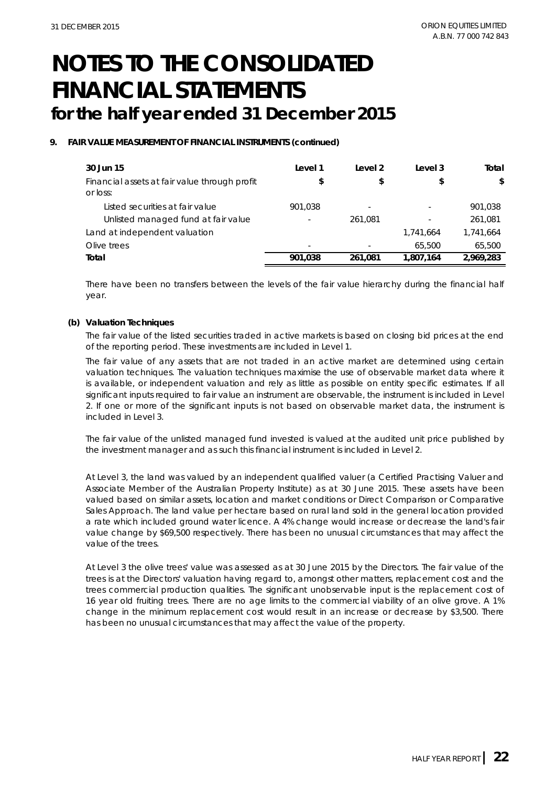#### **9. FAIR VALUE MEASUREMENT OF FINANCIAL INSTRUMENTS (continued)**

| 30 Jun 15                                                 | Level 1 | Level 2 | Level 3   | Total     |
|-----------------------------------------------------------|---------|---------|-----------|-----------|
| Financial assets at fair value through profit<br>or loss: | \$      | \$      | \$        | \$        |
| Listed securities at fair value                           | 901.038 | ۰       | ٠         | 901,038   |
| Unlisted managed fund at fair value                       |         | 261.081 | ٠         | 261,081   |
| Land at independent valuation                             |         |         | 1,741,664 | 1,741,664 |
| Olive trees                                               | ۰       |         | 65,500    | 65,500    |
| Total                                                     | 901.038 | 261.081 | 1.807.164 | 2,969,283 |

There have been no transfers between the levels of the fair value hierarchy during the financial half year.

#### **(b) Valuation Techniques**

The fair value of the listed securities traded in active markets is based on closing bid prices at the end of the reporting period. These investments are included in Level 1.

The fair value of any assets that are not traded in an active market are determined using certain valuation techniques. The valuation techniques maximise the use of observable market data where it is available, or independent valuation and rely as little as possible on entity specific estimates. If all significant inputs required to fair value an instrument are observable, the instrument is included in Level 2. If one or more of the significant inputs is not based on observable market data, the instrument is included in Level 3.

The fair value of the unlisted managed fund invested is valued at the audited unit price published by the investment manager and as such this financial instrument is included in Level 2.

At Level 3, the land was valued by an independent qualified valuer (a Certified Practising Valuer and Associate Member of the Australian Property Institute) as at 30 June 2015. These assets have been valued based on similar assets, location and market conditions or Direct Comparison or Comparative Sales Approach. The land value per hectare based on rural land sold in the general location provided a rate which included ground water licence. A 4% change would increase or decrease the land's fair value change by \$69,500 respectively. There has been no unusual circumstances that may affect the value of the trees.

At Level 3 the olive trees' value was assessed as at 30 June 2015 by the Directors. The fair value of the trees is at the Directors' valuation having regard to, amongst other matters, replacement cost and the trees commercial production qualities. The significant unobservable input is the replacement cost of 16 year old fruiting trees. There are no age limits to the commercial viability of an olive grove. A 1% change in the minimum replacement cost would result in an increase or decrease by \$3,500. There has been no unusual circumstances that may affect the value of the property.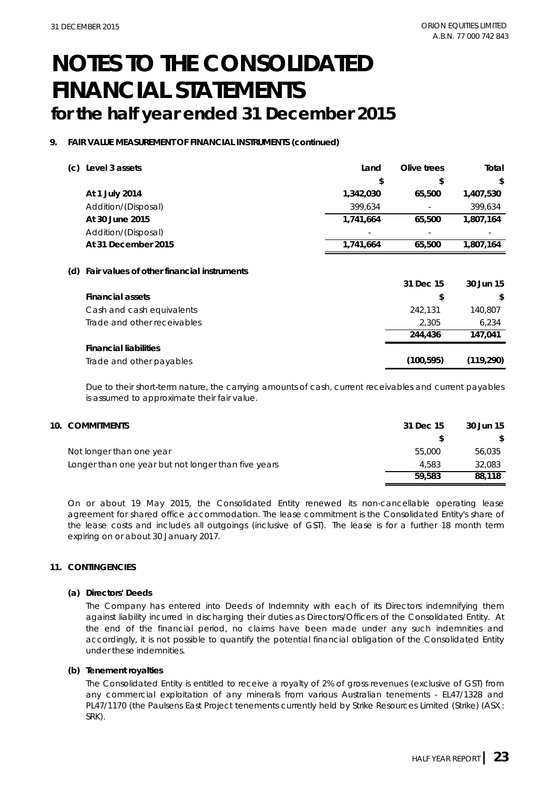#### **9. FAIR VALUE MEASUREMENT OF FINANCIAL INSTRUMENTS (continued)**

| (c) | Level 3 assets                                 | Land      | Olive trees | Total     |
|-----|------------------------------------------------|-----------|-------------|-----------|
|     |                                                | \$        | \$          | \$        |
|     | At 1 July 2014                                 | 1,342,030 | 65,500      | 1,407,530 |
|     | Addition/(Disposal)                            | 399,634   |             | 399,634   |
|     | At 30 June 2015                                | 1,741,664 | 65,500      | 1,807,164 |
|     | Addition/(Disposal)                            |           |             |           |
|     | At 31 December 2015                            | 1,741,664 | 65,500      | 1,807,164 |
|     | (d) Fair values of other financial instruments |           |             |           |
|     |                                                |           | 31 Dec 15   | 30 Jun 15 |
|     | <b>Financial assets</b>                        |           | \$          | \$        |
|     | Cash and cash equivalents                      |           | 242,131     | 140,807   |
|     | Trade and other receivables                    |           | 2,305       | 6,234     |
|     |                                                |           | 244,436     | 147.041   |

#### **Financial liabilities**

Trade and other payables **(100,595) (119,290)**

Due to their short-term nature, the carrying amounts of cash, current receivables and current payables is assumed to approximate their fair value.

| 10. COMMITMENTS                                     | 31 Dec 15 | 30 Jun 15 |
|-----------------------------------------------------|-----------|-----------|
|                                                     |           | \$        |
| Not longer than one year                            | 55,000    | 56,035    |
| Longer than one year but not longer than five years | 4.583     | 32,083    |
|                                                     | 59,583    | 88,118    |

On or about 19 May 2015, the Consolidated Entity renewed its non-cancellable operating lease agreement for shared office accommodation. The lease commitment is the Consolidated Entity's share of the lease costs and includes all outgoings (inclusive of GST). The lease is for a further 18 month term expiring on or about 30 January 2017.

#### **11. CONTINGENCIES**

#### **(a) Directors' Deeds**

The Company has entered into Deeds of Indemnity with each of its Directors indemnifying them against liability incurred in discharging their duties as Directors/Officers of the Consolidated Entity. At the end of the financial period, no claims have been made under any such indemnities and accordingly, it is not possible to quantify the potential financial obligation of the Consolidated Entity under these indemnities.

#### **(b) Tenement royalties**

The Consolidated Entity is entitled to receive a royalty of 2% of gross revenues (exclusive of GST) from any commercial exploitation of any minerals from various Australian tenements - EL47/1328 and PL47/1170 (the Paulsens East Project tenements currently held by Strike Resources Limited (Strike) (ASX: SRK).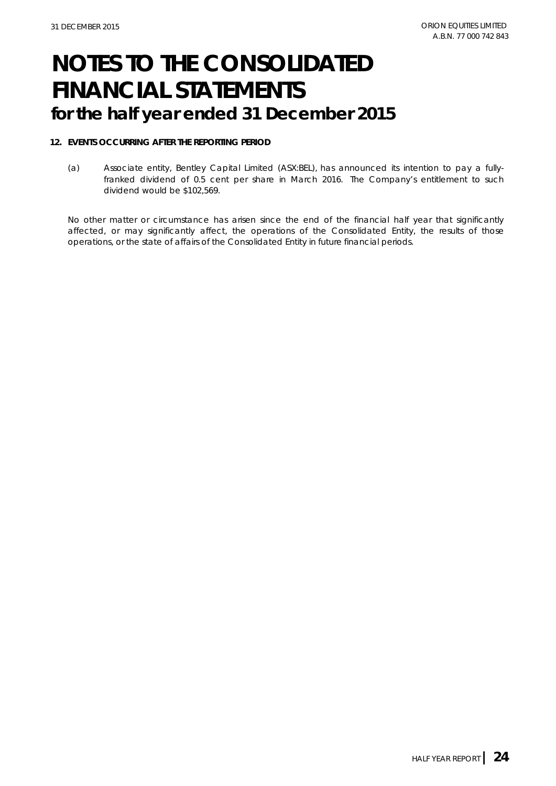#### **12. EVENTS OCCURRING AFTER THE REPORTING PERIOD**

(a) Associate entity, Bentley Capital Limited (ASX:BEL), has announced its intention to pay a fullyfranked dividend of 0.5 cent per share in March 2016. The Company's entitlement to such dividend would be \$102,569.

No other matter or circumstance has arisen since the end of the financial half year that significantly affected, or may significantly affect, the operations of the Consolidated Entity, the results of those operations, or the state of affairs of the Consolidated Entity in future financial periods.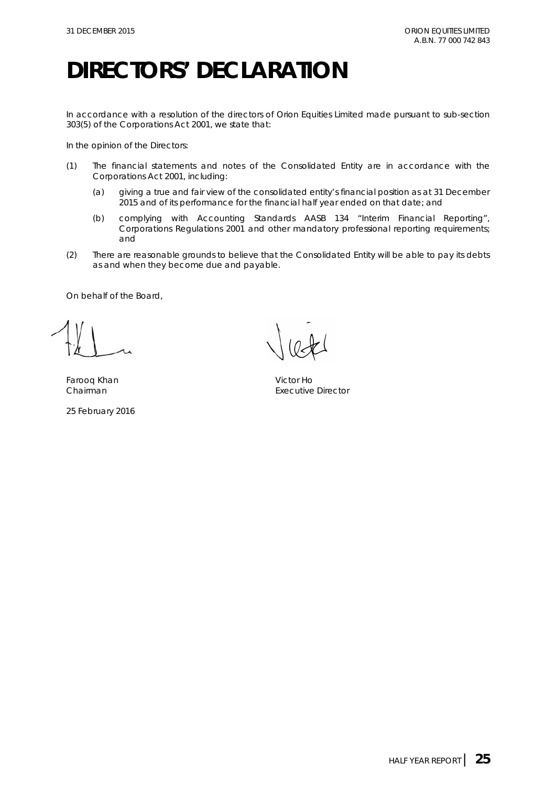### **DIRECTORS' DECLARATION**

In accordance with a resolution of the directors of Orion Equities Limited made pursuant to sub-section 303(5) of the *Corporations Act 2001*, we state that:

In the opinion of the Directors:

- (1) The financial statements and notes of the Consolidated Entity are in accordance with the *Corporations Act 2001*, including:
	- (a) giving a true and fair view of the consolidated entity's financial position as at 31 December 2015 and of its performance for the financial half year ended on that date; and
	- (b) complying with Accounting Standards AASB 134 "Interim Financial Reporting", *Corporations Regulations 2001* and other mandatory professional reporting requirements; and
- (2) There are reasonable grounds to believe that the Consolidated Entity will be able to pay its debts as and when they become due and payable.

On behalf of the Board,

Farooq Khan Victor Ho

25 February 2016

Chairman **Executive Director**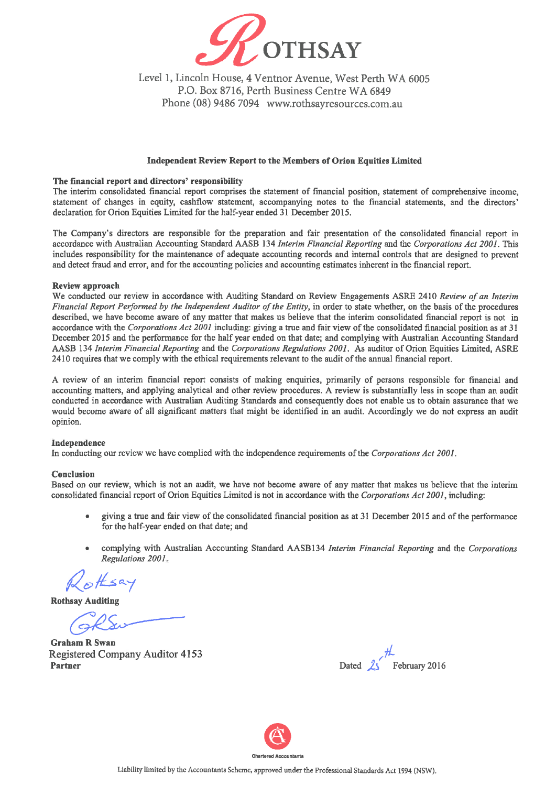

Level 1, Lincoln House, 4 Ventnor Avenue, West Perth WA 6005 P.O. Box 8716, Perth Business Centre WA 6849 Phone (08) 9486 7094 www.rothsayresources.com.au

#### Independent Review Report to the Members of Orion Equities Limited

#### The financial report and directors' responsibility

The interim consolidated financial report comprises the statement of financial position, statement of comprehensive income. statement of changes in equity, cashflow statement, accompanying notes to the financial statements, and the directors' declaration for Orion Equities Limited for the half-year ended 31 December 2015.

The Company's directors are responsible for the preparation and fair presentation of the consolidated financial report in accordance with Australian Accounting Standard AASB 134 Interim Financial Reporting and the Corporations Act 2001. This includes responsibility for the maintenance of adequate accounting records and internal controls that are designed to prevent and detect fraud and error, and for the accounting policies and accounting estimates inherent in the financial report.

#### **Review approach**

We conducted our review in accordance with Auditing Standard on Review Engagements ASRE 2410 Review of an Interim Financial Report Performed by the Independent Auditor of the Entity, in order to state whether, on the basis of the procedures described, we have become aware of any matter that makes us believe that the interim consolidated financial report is not in accordance with the Corporations Act 2001 including: giving a true and fair view of the consolidated financial position as at 31 December 2015 and the performance for the half year ended on that date; and complying with Australian Accounting Standard AASB 134 Interim Financial Reporting and the Corporations Regulations 2001. As auditor of Orion Equities Limited, ASRE 2410 requires that we comply with the ethical requirements relevant to the audit of the annual financial report.

A review of an interim financial report consists of making enquiries, primarily of persons responsible for financial and accounting matters, and applying analytical and other review procedures. A review is substantially less in scope than an audit conducted in accordance with Australian Auditing Standards and consequently does not enable us to obtain assurance that we would become aware of all significant matters that might be identified in an audit. Accordingly we do not express an audit opinion.

#### Independence

In conducting our review we have complied with the independence requirements of the Corporations Act 2001.

#### Conclusion

Based on our review, which is not an audit, we have not become aware of any matter that makes us believe that the interim consolidated financial report of Orion Equities Limited is not in accordance with the Corporations Act 2001, including:

- giving a true and fair view of the consolidated financial position as at 31 December 2015 and of the performance for the half-year ended on that date; and
- complying with Australian Accounting Standard AASB134 Interim Financial Reporting and the Corporations Regulations 2001.

**Rothsay Auditing** 

**Graham R Swan** Registered Company Auditor 4153 **Partner** 

February 2016